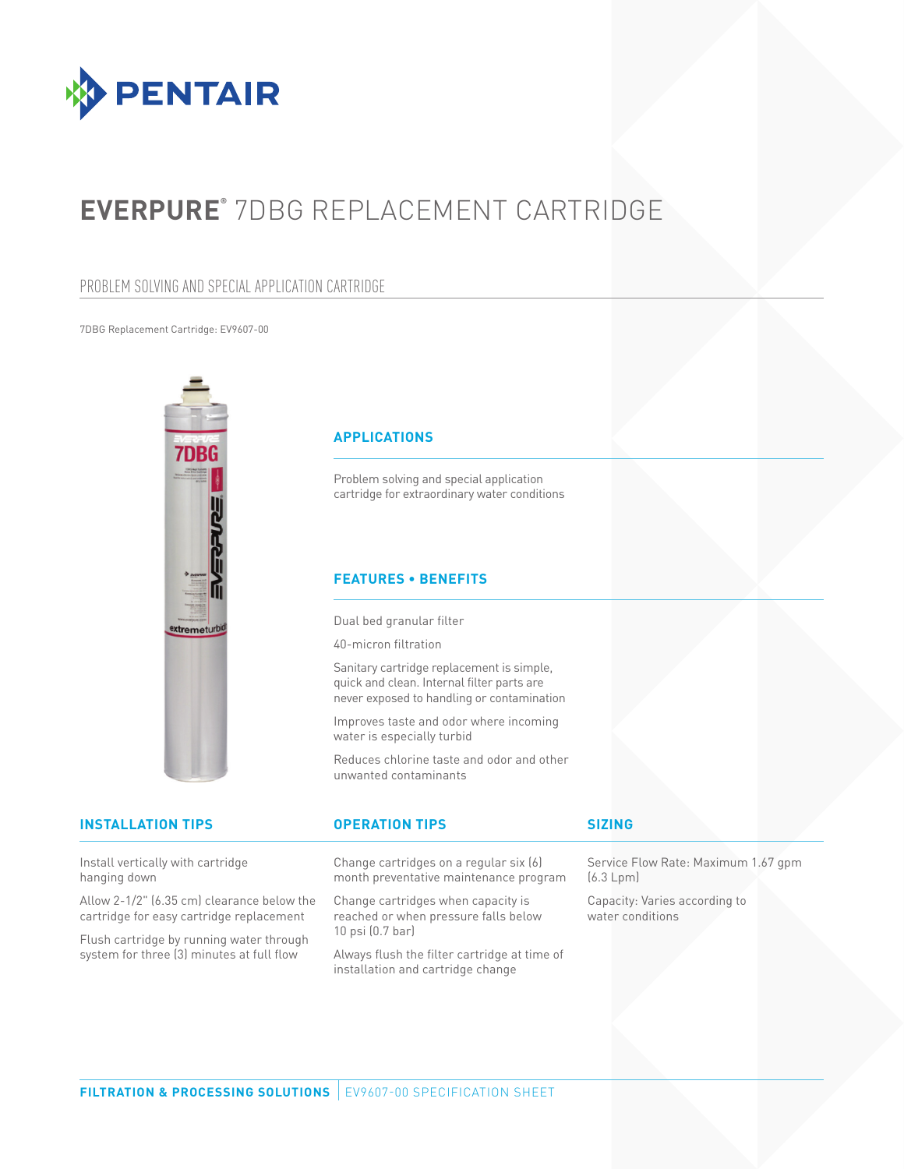

# **EVERPURE®** 7DBG REPLACEMENT CARTRIDGE

## PROBLEM SOLVING AND SPECIAL APPLICATION CARTRIDGE

7DBG Replacement Cartridge: EV9607-00



Install vertically with cartridge hanging down

Allow 2-1/2" (6.35 cm) clearance below the cartridge for easy cartridge replacement

Flush cartridge by running water through system for three (3) minutes at full flow

Change cartridges on a regular six (6) month preventative maintenance program

Change cartridges when capacity is reached or when pressure falls below 10 psi (0.7 bar)

Always flush the filter cartridge at time of installation and cartridge change

Service Flow Rate: Maximum 1.67 gpm (6.3 Lpm)

Capacity: Varies according to water conditions